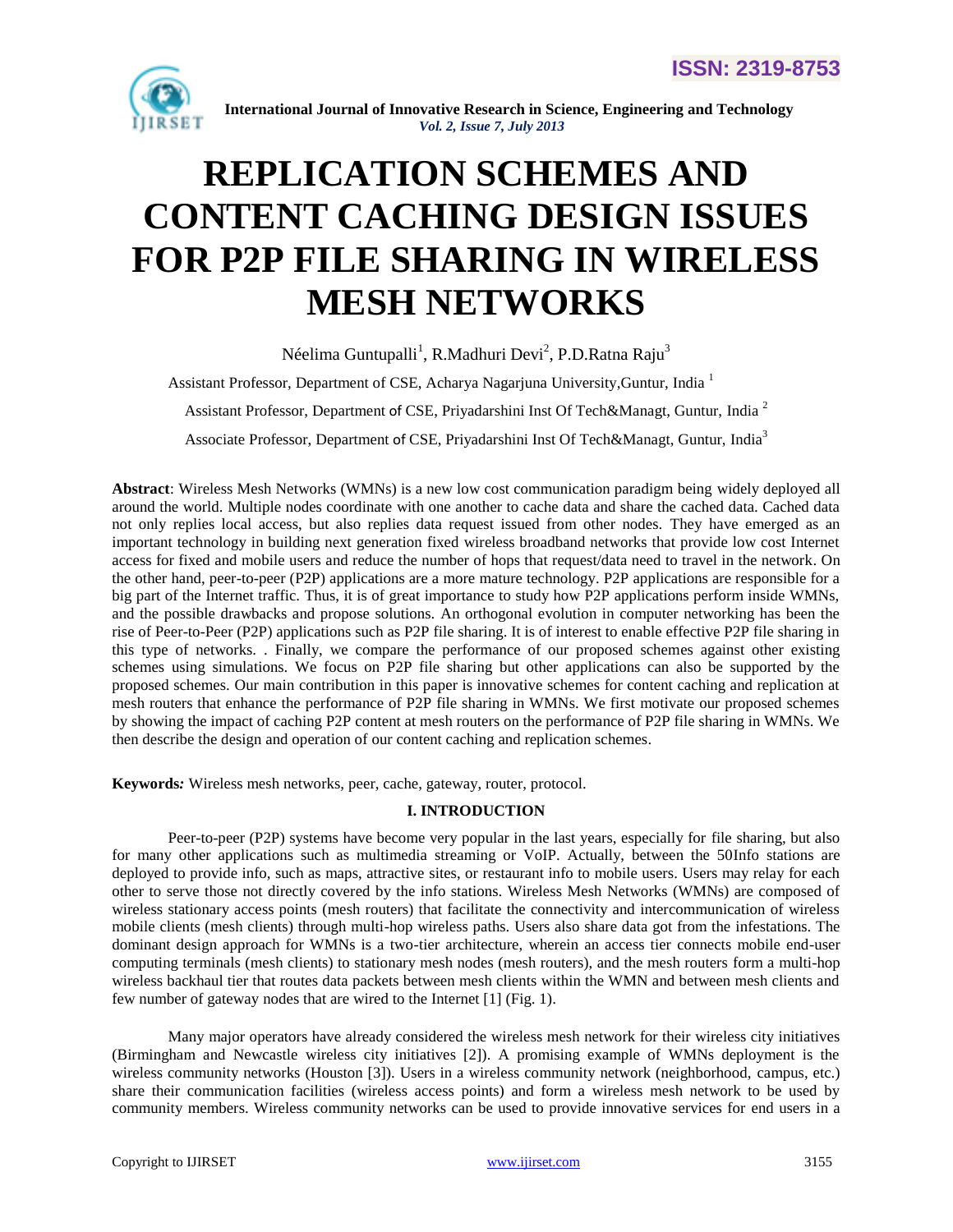

# **REPLICATION SCHEMES AND CONTENT CACHING DESIGN ISSUES FOR P2P FILE SHARING IN WIRELESS MESH NETWORKS**

Néelima Guntupalli<sup>1</sup>, R.Madhuri Devi<sup>2</sup>, P.D.Ratna Raju<sup>3</sup>

Assistant Professor, Department of CSE, Acharya Nagarjuna University, Guntur, India<sup>1</sup>

Assistant Professor, Department of CSE, Priyadarshini Inst Of Tech&Managt, Guntur, India  $^2$ 

Associate Professor, Department of CSE, Priyadarshini Inst Of Tech&Managt, Guntur, India<sup>3</sup>

**Abstract**: Wireless Mesh Networks (WMNs) is a new low cost communication paradigm being widely deployed all around the world. Multiple nodes coordinate with one another to cache data and share the cached data. Cached data not only replies local access, but also replies data request issued from other nodes. They have emerged as an important technology in building next generation fixed wireless broadband networks that provide low cost Internet access for fixed and mobile users and reduce the number of hops that request/data need to travel in the network. On the other hand, peer-to-peer (P2P) applications are a more mature technology. P2P applications are responsible for a big part of the Internet traffic. Thus, it is of great importance to study how P2P applications perform inside WMNs, and the possible drawbacks and propose solutions. An orthogonal evolution in computer networking has been the rise of Peer-to-Peer (P2P) applications such as P2P file sharing. It is of interest to enable effective P2P file sharing in this type of networks. . Finally, we compare the performance of our proposed schemes against other existing schemes using simulations. We focus on P2P file sharing but other applications can also be supported by the proposed schemes. Our main contribution in this paper is innovative schemes for content caching and replication at mesh routers that enhance the performance of P2P file sharing in WMNs. We first motivate our proposed schemes by showing the impact of caching P2P content at mesh routers on the performance of P2P file sharing in WMNs. We then describe the design and operation of our content caching and replication schemes.

**Keywords***:* Wireless mesh networks, peer, cache, gateway, router, protocol.

# **I. INTRODUCTION**

Peer-to-peer (P2P) systems have become very popular in the last years, especially for file sharing, but also for many other applications such as multimedia streaming or VoIP. Actually, between the 50Info stations are deployed to provide info, such as maps, attractive sites, or restaurant info to mobile users. Users may relay for each other to serve those not directly covered by the info stations. Wireless Mesh Networks (WMNs) are composed of wireless stationary access points (mesh routers) that facilitate the connectivity and intercommunication of wireless mobile clients (mesh clients) through multi-hop wireless paths. Users also share data got from the infestations. The dominant design approach for WMNs is a two-tier architecture, wherein an access tier connects mobile end-user computing terminals (mesh clients) to stationary mesh nodes (mesh routers), and the mesh routers form a multi-hop wireless backhaul tier that routes data packets between mesh clients within the WMN and between mesh clients and few number of gateway nodes that are wired to the Internet [1] (Fig. 1).

Many major operators have already considered the wireless mesh network for their wireless city initiatives (Birmingham and Newcastle wireless city initiatives [2]). A promising example of WMNs deployment is the wireless community networks (Houston [3]). Users in a wireless community network (neighborhood, campus, etc.) share their communication facilities (wireless access points) and form a wireless mesh network to be used by community members. Wireless community networks can be used to provide innovative services for end users in a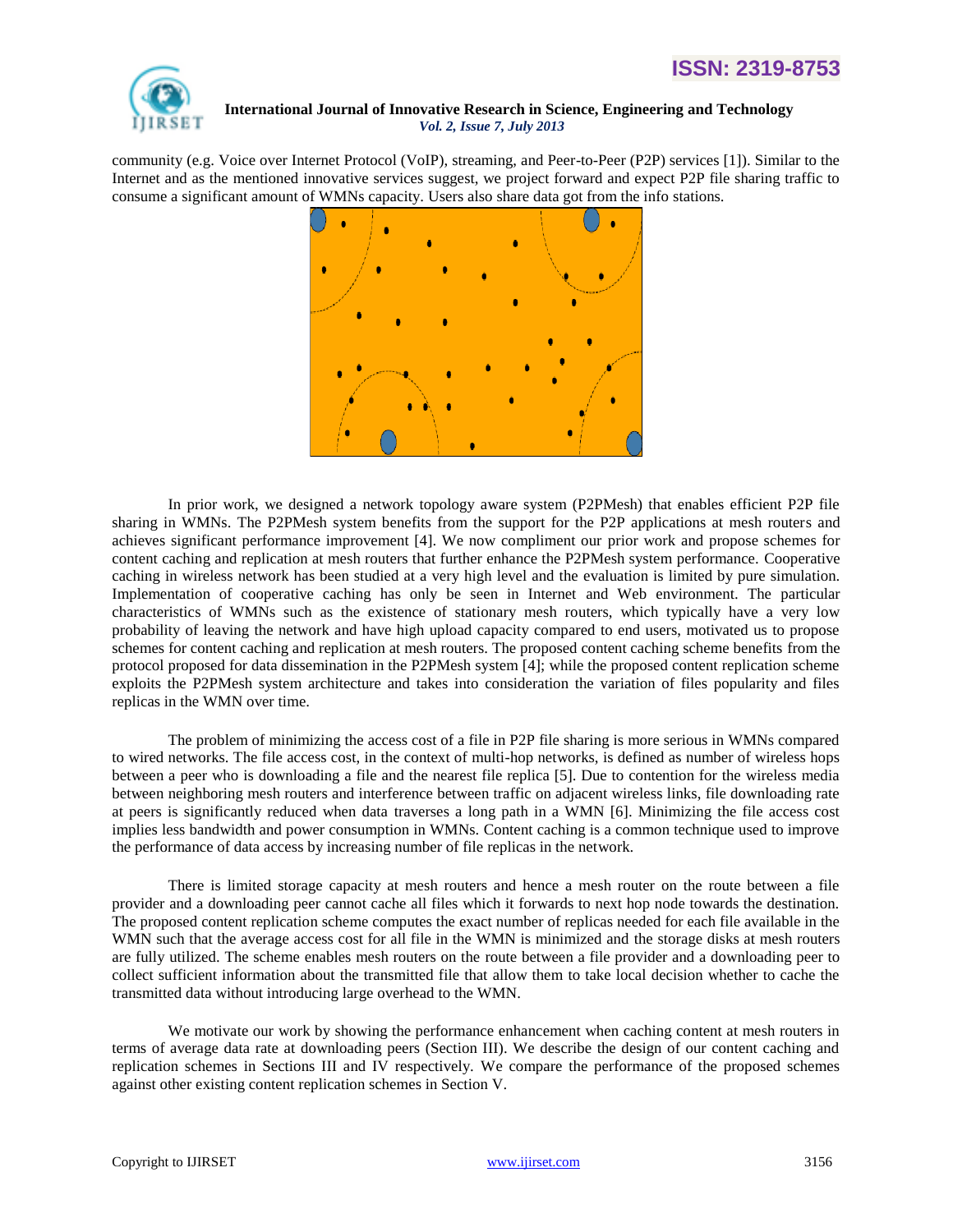

community (e.g. Voice over Internet Protocol (VoIP), streaming, and Peer-to-Peer (P2P) services [1]). Similar to the Internet and as the mentioned innovative services suggest, we project forward and expect P2P file sharing traffic to consume a significant amount of WMNs capacity. Users also share data got from the info stations.



In prior work, we designed a network topology aware system (P2PMesh) that enables efficient P2P file sharing in WMNs. The P2PMesh system benefits from the support for the P2P applications at mesh routers and achieves significant performance improvement [4]. We now compliment our prior work and propose schemes for content caching and replication at mesh routers that further enhance the P2PMesh system performance. Cooperative caching in wireless network has been studied at a very high level and the evaluation is limited by pure simulation. Implementation of cooperative caching has only be seen in Internet and Web environment. The particular characteristics of WMNs such as the existence of stationary mesh routers, which typically have a very low probability of leaving the network and have high upload capacity compared to end users, motivated us to propose schemes for content caching and replication at mesh routers. The proposed content caching scheme benefits from the protocol proposed for data dissemination in the P2PMesh system [4]; while the proposed content replication scheme exploits the P2PMesh system architecture and takes into consideration the variation of files popularity and files replicas in the WMN over time.

The problem of minimizing the access cost of a file in P2P file sharing is more serious in WMNs compared to wired networks. The file access cost, in the context of multi-hop networks, is defined as number of wireless hops between a peer who is downloading a file and the nearest file replica [5]. Due to contention for the wireless media between neighboring mesh routers and interference between traffic on adjacent wireless links, file downloading rate at peers is significantly reduced when data traverses a long path in a WMN [6]. Minimizing the file access cost implies less bandwidth and power consumption in WMNs. Content caching is a common technique used to improve the performance of data access by increasing number of file replicas in the network.

There is limited storage capacity at mesh routers and hence a mesh router on the route between a file provider and a downloading peer cannot cache all files which it forwards to next hop node towards the destination. The proposed content replication scheme computes the exact number of replicas needed for each file available in the WMN such that the average access cost for all file in the WMN is minimized and the storage disks at mesh routers are fully utilized. The scheme enables mesh routers on the route between a file provider and a downloading peer to collect sufficient information about the transmitted file that allow them to take local decision whether to cache the transmitted data without introducing large overhead to the WMN.

We motivate our work by showing the performance enhancement when caching content at mesh routers in terms of average data rate at downloading peers (Section III). We describe the design of our content caching and replication schemes in Sections III and IV respectively. We compare the performance of the proposed schemes against other existing content replication schemes in Section V.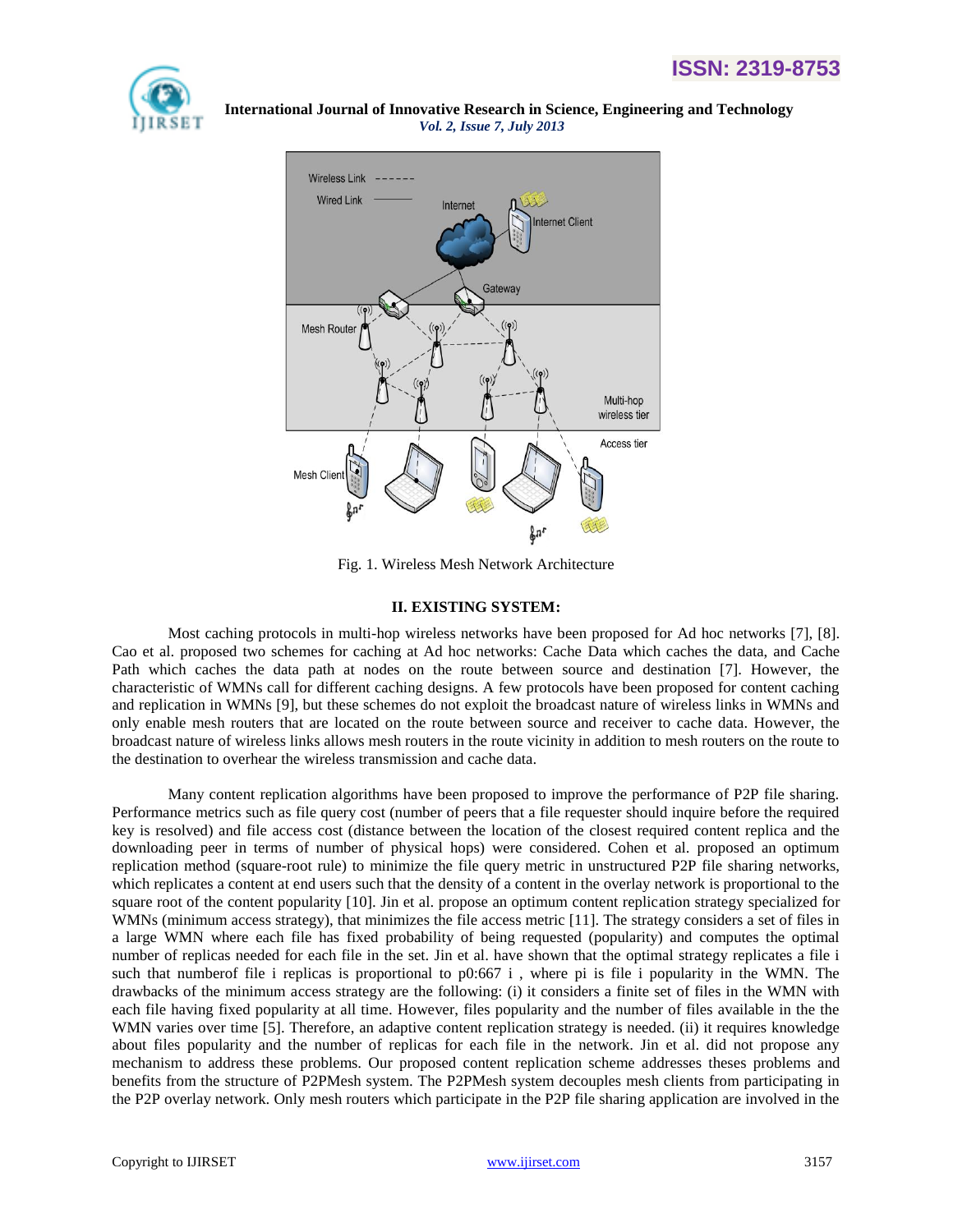





Fig. 1. Wireless Mesh Network Architecture

## **II. EXISTING SYSTEM:**

Most caching protocols in multi-hop wireless networks have been proposed for Ad hoc networks [7], [8]. Cao et al. proposed two schemes for caching at Ad hoc networks: Cache Data which caches the data, and Cache Path which caches the data path at nodes on the route between source and destination [7]. However, the characteristic of WMNs call for different caching designs. A few protocols have been proposed for content caching and replication in WMNs [9], but these schemes do not exploit the broadcast nature of wireless links in WMNs and only enable mesh routers that are located on the route between source and receiver to cache data. However, the broadcast nature of wireless links allows mesh routers in the route vicinity in addition to mesh routers on the route to the destination to overhear the wireless transmission and cache data.

Many content replication algorithms have been proposed to improve the performance of P2P file sharing. Performance metrics such as file query cost (number of peers that a file requester should inquire before the required key is resolved) and file access cost (distance between the location of the closest required content replica and the downloading peer in terms of number of physical hops) were considered. Cohen et al. proposed an optimum replication method (square-root rule) to minimize the file query metric in unstructured P2P file sharing networks, which replicates a content at end users such that the density of a content in the overlay network is proportional to the square root of the content popularity [10]. Jin et al. propose an optimum content replication strategy specialized for WMNs (minimum access strategy), that minimizes the file access metric [11]. The strategy considers a set of files in a large WMN where each file has fixed probability of being requested (popularity) and computes the optimal number of replicas needed for each file in the set. Jin et al. have shown that the optimal strategy replicates a file i such that number f file i replicas is proportional to  $p0:667$  i, where pi is file i popularity in the WMN. The drawbacks of the minimum access strategy are the following: (i) it considers a finite set of files in the WMN with each file having fixed popularity at all time. However, files popularity and the number of files available in the the WMN varies over time [5]. Therefore, an adaptive content replication strategy is needed. (ii) it requires knowledge about files popularity and the number of replicas for each file in the network. Jin et al. did not propose any mechanism to address these problems. Our proposed content replication scheme addresses theses problems and benefits from the structure of P2PMesh system. The P2PMesh system decouples mesh clients from participating in the P2P overlay network. Only mesh routers which participate in the P2P file sharing application are involved in the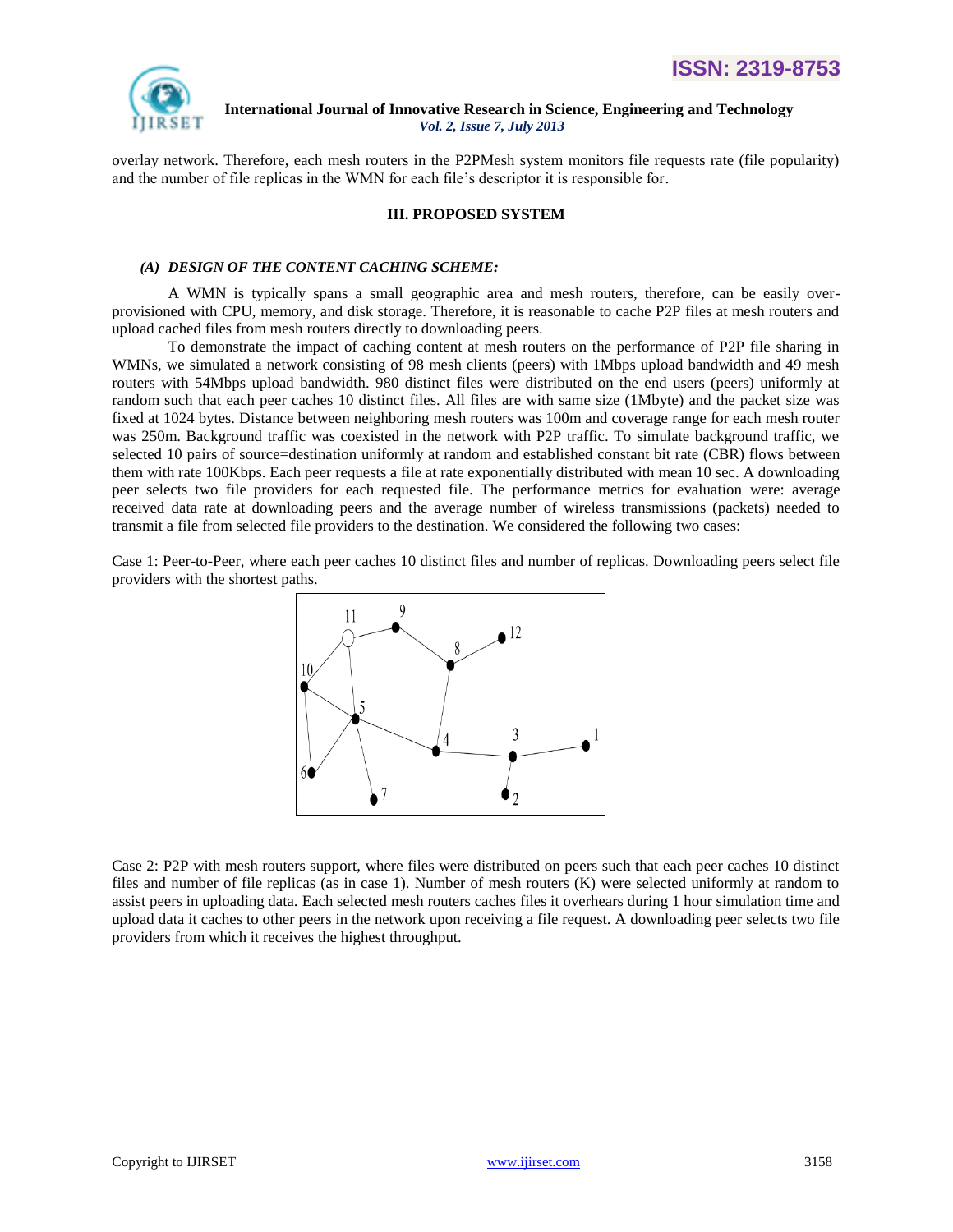

overlay network. Therefore, each mesh routers in the P2PMesh system monitors file requests rate (file popularity) and the number of file replicas in the WMN for each file's descriptor it is responsible for.

## **III. PROPOSED SYSTEM**

#### *(A) DESIGN OF THE CONTENT CACHING SCHEME:*

A WMN is typically spans a small geographic area and mesh routers, therefore, can be easily overprovisioned with CPU, memory, and disk storage. Therefore, it is reasonable to cache P2P files at mesh routers and upload cached files from mesh routers directly to downloading peers.

To demonstrate the impact of caching content at mesh routers on the performance of P2P file sharing in WMNs, we simulated a network consisting of 98 mesh clients (peers) with 1Mbps upload bandwidth and 49 mesh routers with 54Mbps upload bandwidth. 980 distinct files were distributed on the end users (peers) uniformly at random such that each peer caches 10 distinct files. All files are with same size (1Mbyte) and the packet size was fixed at 1024 bytes. Distance between neighboring mesh routers was 100m and coverage range for each mesh router was 250m. Background traffic was coexisted in the network with P2P traffic. To simulate background traffic, we selected 10 pairs of source=destination uniformly at random and established constant bit rate (CBR) flows between them with rate 100Kbps. Each peer requests a file at rate exponentially distributed with mean 10 sec. A downloading peer selects two file providers for each requested file. The performance metrics for evaluation were: average received data rate at downloading peers and the average number of wireless transmissions (packets) needed to transmit a file from selected file providers to the destination. We considered the following two cases:

Case 1: Peer-to-Peer, where each peer caches 10 distinct files and number of replicas. Downloading peers select file providers with the shortest paths.



Case 2: P2P with mesh routers support, where files were distributed on peers such that each peer caches 10 distinct files and number of file replicas (as in case 1). Number of mesh routers (K) were selected uniformly at random to assist peers in uploading data. Each selected mesh routers caches files it overhears during 1 hour simulation time and upload data it caches to other peers in the network upon receiving a file request. A downloading peer selects two file providers from which it receives the highest throughput.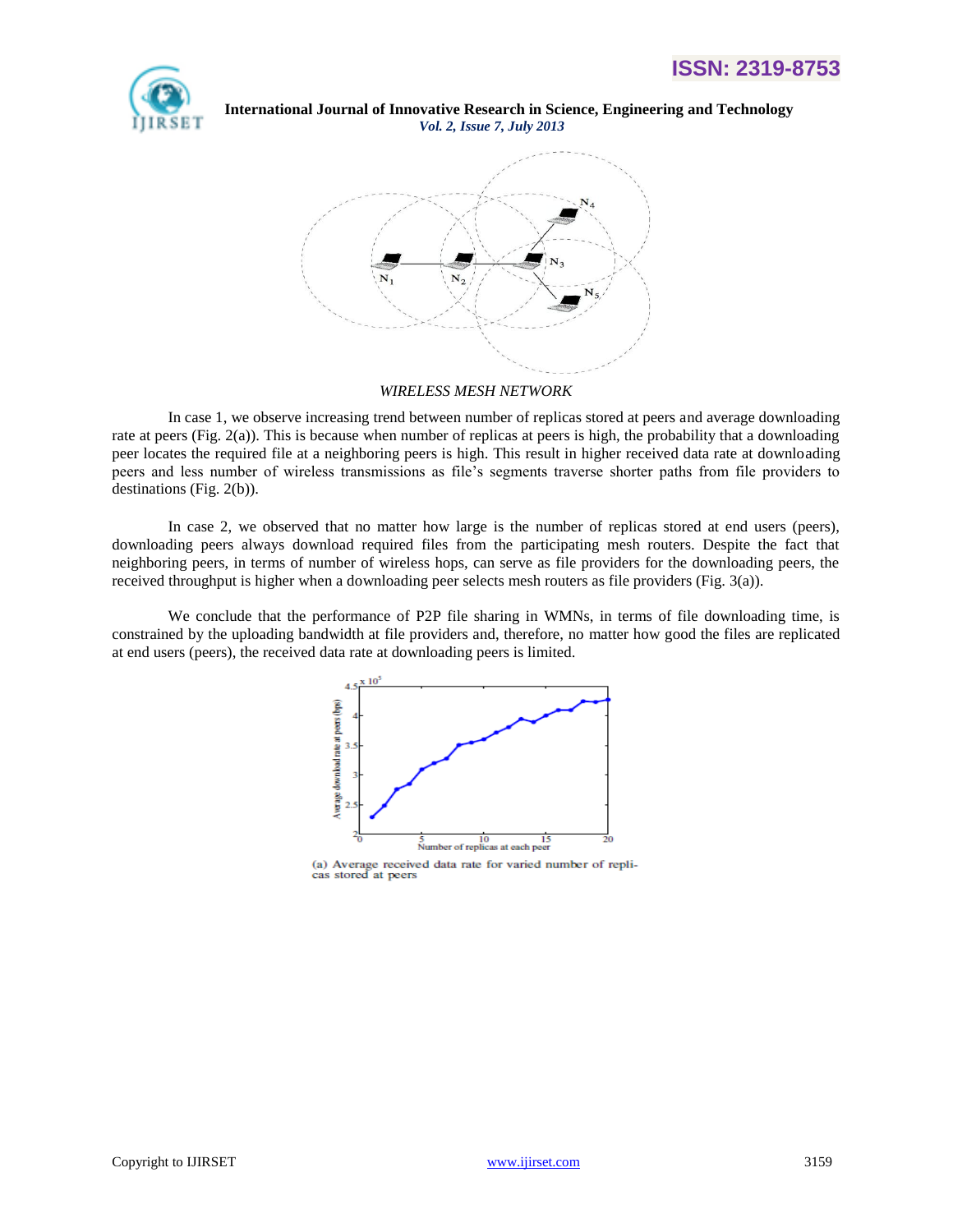



#### *WIRELESS MESH NETWORK*

In case 1, we observe increasing trend between number of replicas stored at peers and average downloading rate at peers (Fig. 2(a)). This is because when number of replicas at peers is high, the probability that a downloading peer locates the required file at a neighboring peers is high. This result in higher received data rate at downloading peers and less number of wireless transmissions as file's segments traverse shorter paths from file providers to destinations (Fig. 2(b)).

In case 2, we observed that no matter how large is the number of replicas stored at end users (peers), downloading peers always download required files from the participating mesh routers. Despite the fact that neighboring peers, in terms of number of wireless hops, can serve as file providers for the downloading peers, the received throughput is higher when a downloading peer selects mesh routers as file providers (Fig. 3(a)).

We conclude that the performance of P2P file sharing in WMNs, in terms of file downloading time, is constrained by the uploading bandwidth at file providers and, therefore, no matter how good the files are replicated at end users (peers), the received data rate at downloading peers is limited.



(a) Average received data rate for varied number of replicas stored at peers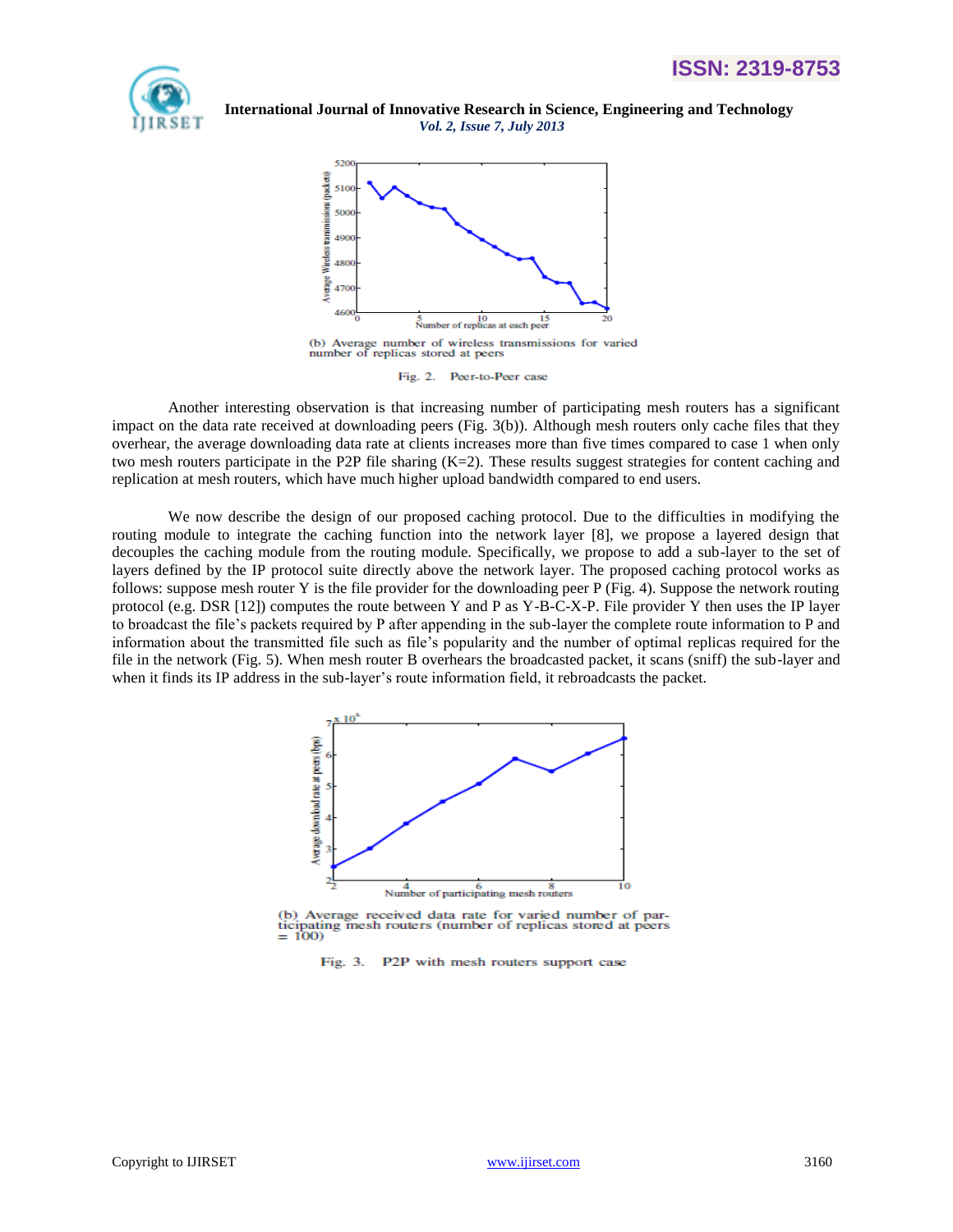



Fig. 2. Peer-to-Peer case

Another interesting observation is that increasing number of participating mesh routers has a significant impact on the data rate received at downloading peers (Fig. 3(b)). Although mesh routers only cache files that they overhear, the average downloading data rate at clients increases more than five times compared to case 1 when only two mesh routers participate in the P2P file sharing (K=2). These results suggest strategies for content caching and replication at mesh routers, which have much higher upload bandwidth compared to end users.

We now describe the design of our proposed caching protocol. Due to the difficulties in modifying the routing module to integrate the caching function into the network layer [8], we propose a layered design that decouples the caching module from the routing module. Specifically, we propose to add a sub-layer to the set of layers defined by the IP protocol suite directly above the network layer. The proposed caching protocol works as follows: suppose mesh router Y is the file provider for the downloading peer P (Fig. 4). Suppose the network routing protocol (e.g. DSR [12]) computes the route between Y and P as Y-B-C-X-P. File provider Y then uses the IP layer to broadcast the file's packets required by P after appending in the sub-layer the complete route information to P and information about the transmitted file such as file's popularity and the number of optimal replicas required for the file in the network (Fig. 5). When mesh router B overhears the broadcasted packet, it scans (sniff) the sub-layer and when it finds its IP address in the sub-layer's route information field, it rebroadcasts the packet.



(b) Average received data rate for varied number of participating mesh routers (number of replicas stored at peers  $100$ 

Fig. 3. P2P with mesh routers support case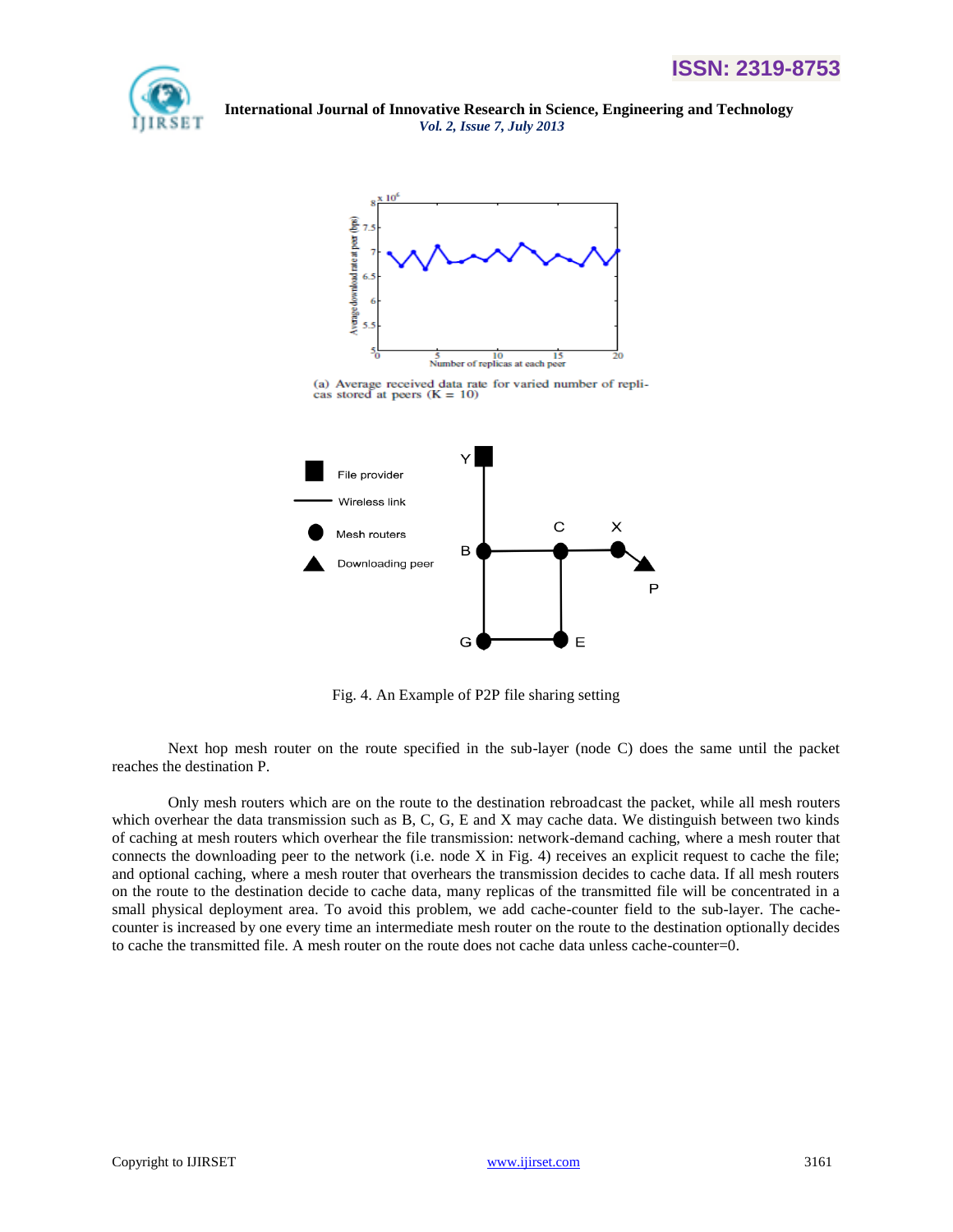



(a) Average received data rate for varied number of replicas stored at peers  $(K = 10)$ 



Fig. 4. An Example of P2P file sharing setting

Next hop mesh router on the route specified in the sub-layer (node C) does the same until the packet reaches the destination P.

Only mesh routers which are on the route to the destination rebroadcast the packet, while all mesh routers which overhear the data transmission such as B, C, G, E and X may cache data. We distinguish between two kinds of caching at mesh routers which overhear the file transmission: network-demand caching, where a mesh router that connects the downloading peer to the network (i.e. node X in Fig. 4) receives an explicit request to cache the file; and optional caching, where a mesh router that overhears the transmission decides to cache data. If all mesh routers on the route to the destination decide to cache data, many replicas of the transmitted file will be concentrated in a small physical deployment area. To avoid this problem, we add cache-counter field to the sub-layer. The cachecounter is increased by one every time an intermediate mesh router on the route to the destination optionally decides to cache the transmitted file. A mesh router on the route does not cache data unless cache-counter=0.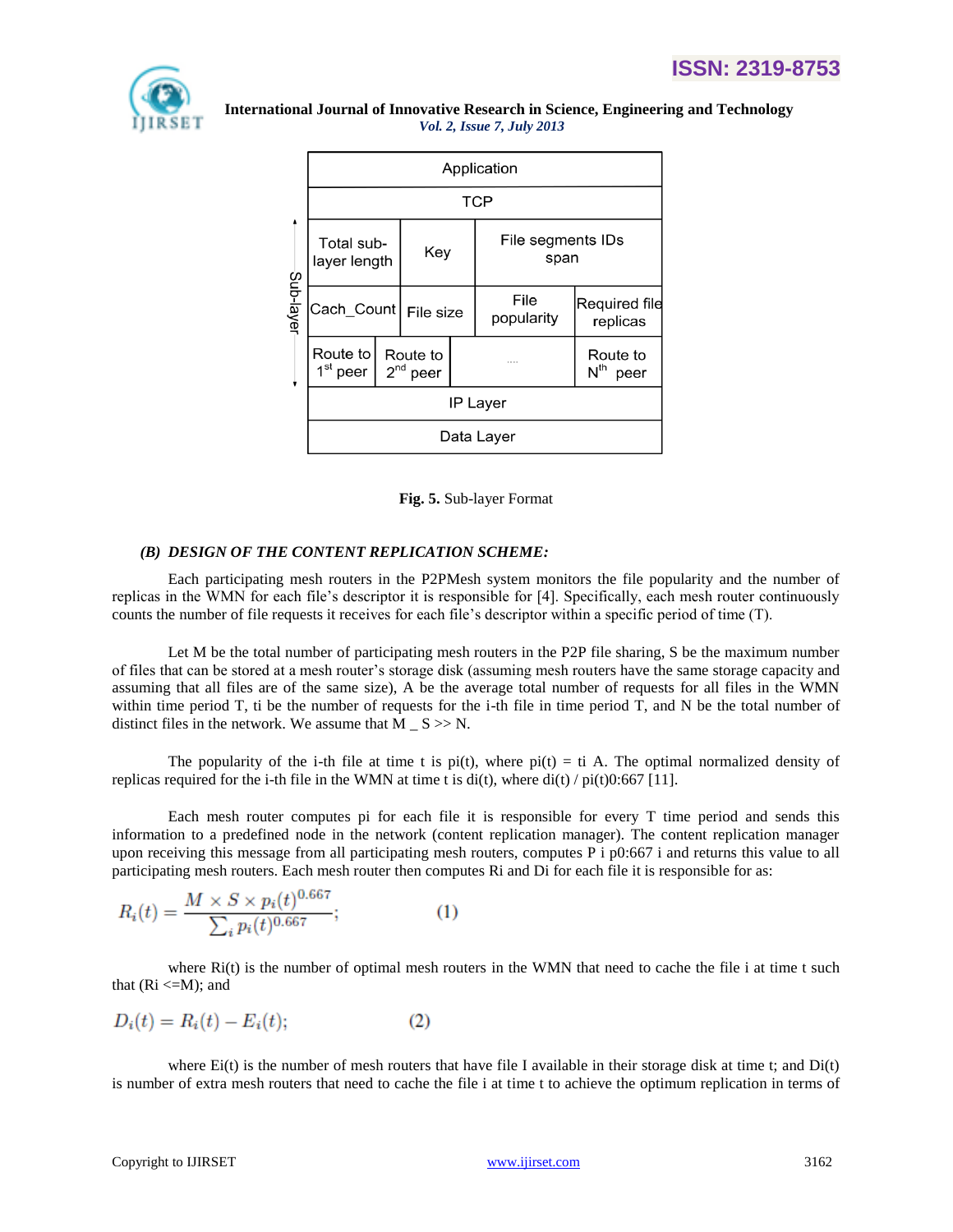



**Fig. 5.** Sub-layer Format

# *(B) DESIGN OF THE CONTENT REPLICATION SCHEME:*

Each participating mesh routers in the P2PMesh system monitors the file popularity and the number of replicas in the WMN for each file's descriptor it is responsible for [4]. Specifically, each mesh router continuously counts the number of file requests it receives for each file's descriptor within a specific period of time (T).

Let M be the total number of participating mesh routers in the P2P file sharing, S be the maximum number of files that can be stored at a mesh router's storage disk (assuming mesh routers have the same storage capacity and assuming that all files are of the same size), A be the average total number of requests for all files in the WMN within time period T, ti be the number of requests for the i-th file in time period T, and N be the total number of distinct files in the network. We assume that  $M_S \gg N$ .

The popularity of the i-th file at time t is  $pi(t)$ , where  $pi(t) = ti$  A. The optimal normalized density of replicas required for the i-th file in the WMN at time t is di(t), where di(t)  $/pi(t)0:667$  [11].

Each mesh router computes pi for each file it is responsible for every T time period and sends this information to a predefined node in the network (content replication manager). The content replication manager upon receiving this message from all participating mesh routers, computes P i p0:667 i and returns this value to all participating mesh routers. Each mesh router then computes Ri and Di for each file it is responsible for as:

$$
R_i(t) = \frac{M \times S \times p_i(t)^{0.667}}{\sum_i p_i(t)^{0.667}};
$$
 (1)

where  $Ri(t)$  is the number of optimal mesh routers in the WMN that need to cache the file i at time t such that  $(Ri \leq M)$ ; and

$$
D_i(t) = R_i(t) - E_i(t); \tag{2}
$$

where  $Ei(t)$  is the number of mesh routers that have file I available in their storage disk at time t; and  $Di(t)$ is number of extra mesh routers that need to cache the file i at time t to achieve the optimum replication in terms of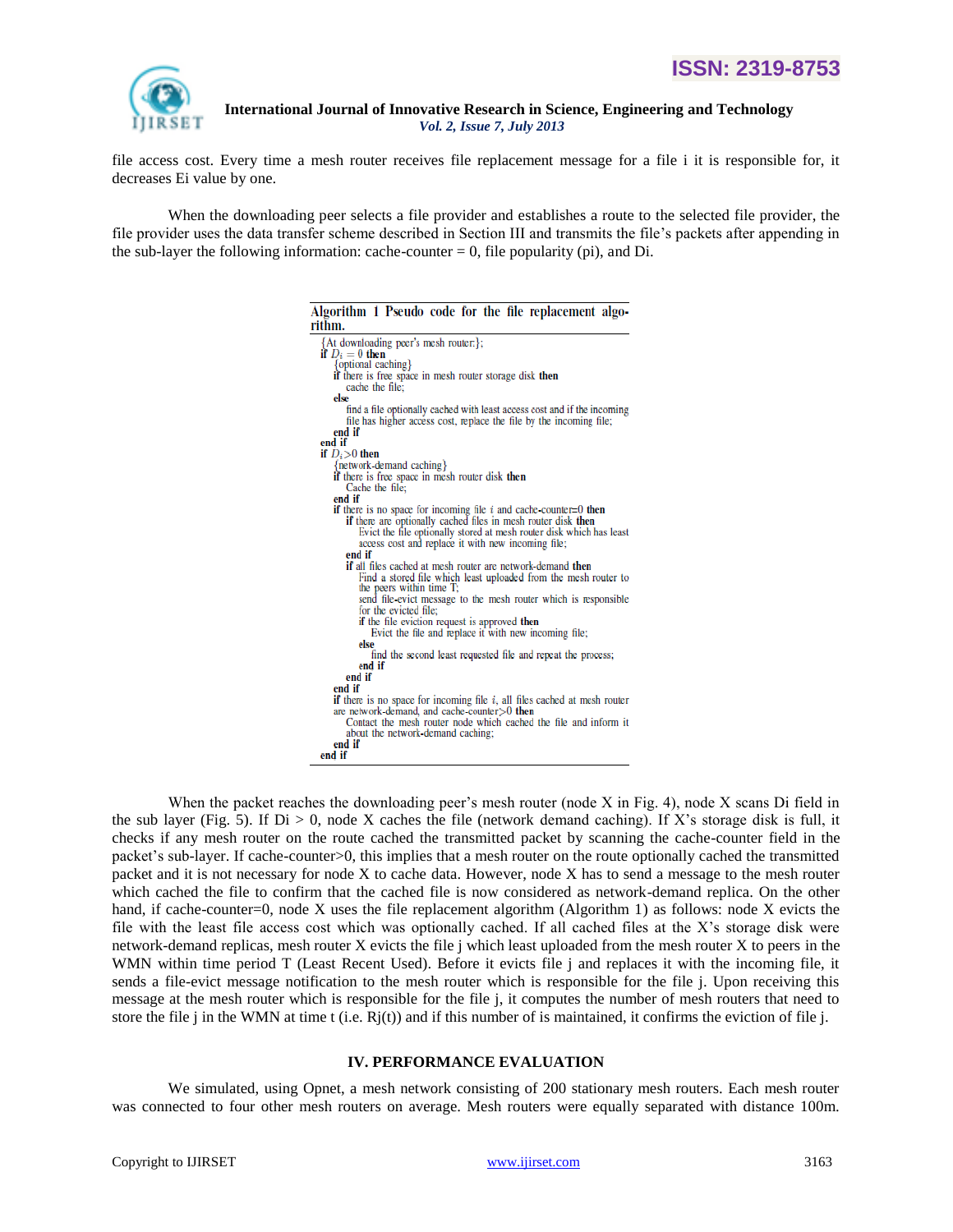

file access cost. Every time a mesh router receives file replacement message for a file i it is responsible for, it decreases Ei value by one.

When the downloading peer selects a file provider and establishes a route to the selected file provider, the file provider uses the data transfer scheme described in Section III and transmits the file's packets after appending in the sub-layer the following information: cache-counter  $= 0$ , file popularity (pi), and Di.



When the packet reaches the downloading peer's mesh router (node  $X$  in Fig. 4), node  $X$  scans Di field in the sub layer (Fig. 5). If  $Di > 0$ , node X caches the file (network demand caching). If X's storage disk is full, it checks if any mesh router on the route cached the transmitted packet by scanning the cache-counter field in the packet's sub-layer. If cache-counter>0, this implies that a mesh router on the route optionally cached the transmitted packet and it is not necessary for node X to cache data. However, node X has to send a message to the mesh router which cached the file to confirm that the cached file is now considered as network-demand replica. On the other hand, if cache-counter=0, node X uses the file replacement algorithm (Algorithm 1) as follows: node X evicts the file with the least file access cost which was optionally cached. If all cached files at the X's storage disk were network-demand replicas, mesh router X evicts the file j which least uploaded from the mesh router X to peers in the WMN within time period T (Least Recent Used). Before it evicts file j and replaces it with the incoming file, it sends a file-evict message notification to the mesh router which is responsible for the file j. Upon receiving this message at the mesh router which is responsible for the file j, it computes the number of mesh routers that need to store the file j in the WMN at time t (i.e.  $Rj(t)$ ) and if this number of is maintained, it confirms the eviction of file j.

#### **IV. PERFORMANCE EVALUATION**

We simulated, using Opnet, a mesh network consisting of 200 stationary mesh routers. Each mesh router was connected to four other mesh routers on average. Mesh routers were equally separated with distance 100m.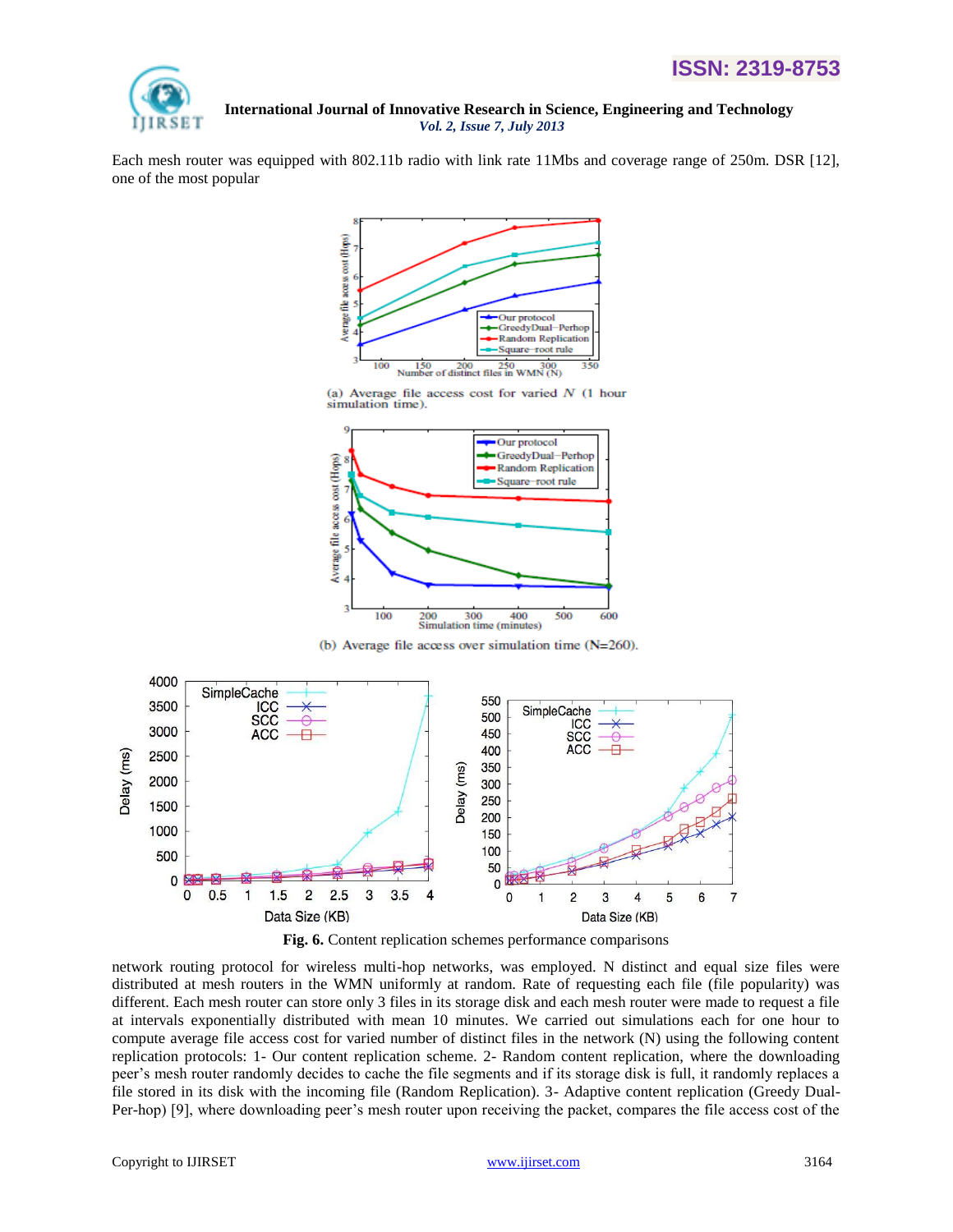

Each mesh router was equipped with 802.11b radio with link rate 11Mbs and coverage range of 250m. DSR [12], one of the most popular



(a) Average file access cost for varied  $N$  (1 hour simulation time).



(b) Average file access over simulation time  $(N=260)$ .



**Fig. 6.** Content replication schemes performance comparisons

network routing protocol for wireless multi-hop networks, was employed. N distinct and equal size files were distributed at mesh routers in the WMN uniformly at random. Rate of requesting each file (file popularity) was different. Each mesh router can store only 3 files in its storage disk and each mesh router were made to request a file at intervals exponentially distributed with mean 10 minutes. We carried out simulations each for one hour to compute average file access cost for varied number of distinct files in the network (N) using the following content replication protocols: 1- Our content replication scheme. 2- Random content replication, where the downloading peer's mesh router randomly decides to cache the file segments and if its storage disk is full, it randomly replaces a file stored in its disk with the incoming file (Random Replication). 3- Adaptive content replication (Greedy Dual-Per-hop) [9], where downloading peer's mesh router upon receiving the packet, compares the file access cost of the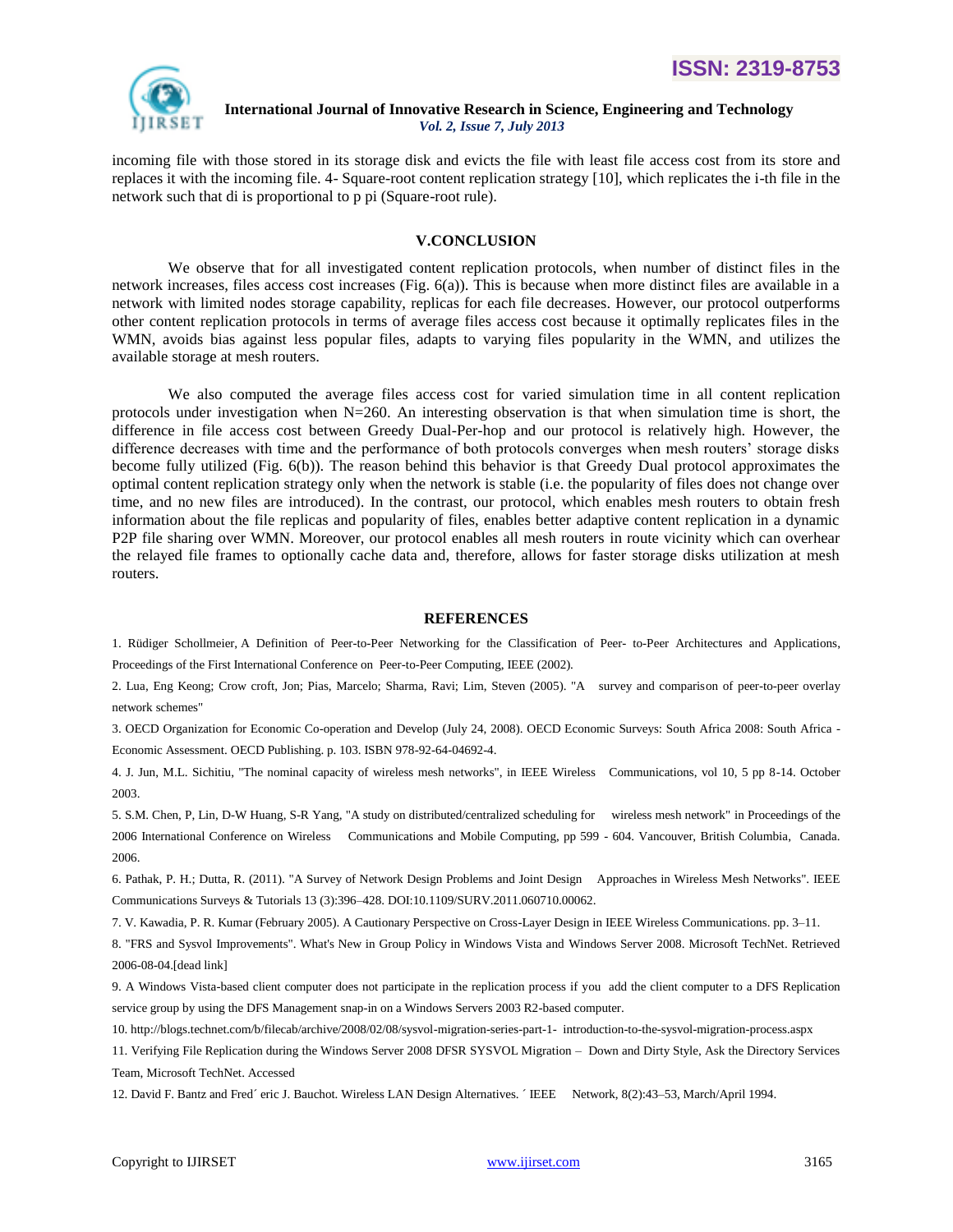

incoming file with those stored in its storage disk and evicts the file with least file access cost from its store and replaces it with the incoming file. 4- Square-root content replication strategy [10], which replicates the i-th file in the network such that di is proportional to p pi (Square-root rule).

# **V.CONCLUSION**

We observe that for all investigated content replication protocols, when number of distinct files in the network increases, files access cost increases (Fig. 6(a)). This is because when more distinct files are available in a network with limited nodes storage capability, replicas for each file decreases. However, our protocol outperforms other content replication protocols in terms of average files access cost because it optimally replicates files in the WMN, avoids bias against less popular files, adapts to varying files popularity in the WMN, and utilizes the available storage at mesh routers.

We also computed the average files access cost for varied simulation time in all content replication protocols under investigation when  $N=260$ . An interesting observation is that when simulation time is short, the difference in file access cost between Greedy Dual-Per-hop and our protocol is relatively high. However, the difference decreases with time and the performance of both protocols converges when mesh routers' storage disks become fully utilized (Fig. 6(b)). The reason behind this behavior is that Greedy Dual protocol approximates the optimal content replication strategy only when the network is stable (i.e. the popularity of files does not change over time, and no new files are introduced). In the contrast, our protocol, which enables mesh routers to obtain fresh information about the file replicas and popularity of files, enables better adaptive content replication in a dynamic P2P file sharing over WMN. Moreover, our protocol enables all mesh routers in route vicinity which can overhear the relayed file frames to optionally cache data and, therefore, allows for faster storage disks utilization at mesh routers.

## **REFERENCES**

1. Rüdiger Schollmeier, A Definition of Peer-to-Peer Networking for the Classification of Peer- to-Peer Architectures and Applications, Proceedings of the First International Conference on Peer-to-Peer Computing, IEEE (2002).

2. Lua, Eng Keong; Crow croft, Jon; Pias, Marcelo; Sharma, Ravi; Lim, Steven (2005). "A survey and comparison of peer-to-peer overlay network schemes"

3. OECD Organization for Economic Co-operation and Develop (July 24, 2008). OECD Economic Surveys: South Africa 2008: South Africa - Economic Assessment. OECD Publishing. p. 103. ISBN 978-92-64-04692-4.

4. J. Jun, M.L. Sichitiu, "The nominal capacity of wireless mesh networks", in IEEE Wireless Communications, vol 10, 5 pp 8-14. October 2003.

5. S.M. Chen, P, Lin, D-W Huang, S-R Yang, "A study on distributed/centralized scheduling for wireless mesh network" in Proceedings of the 2006 International Conference on Wireless Communications and Mobile Computing, pp 599 - 604. Vancouver, British Columbia, Canada. 2006.

6. Pathak, P. H.; Dutta, R. (2011). "A Survey of Network Design Problems and Joint Design Approaches in Wireless Mesh Networks". IEEE Communications Surveys & Tutorials 13 (3):396–428. DOI:10.1109/SURV.2011.060710.00062.

7. V. Kawadia, P. R. Kumar (February 2005). A Cautionary Perspective on Cross-Layer Design in IEEE Wireless Communications. pp. 3–11.

8. "FRS and Sysvol Improvements". What's New in Group Policy in Windows Vista and Windows Server 2008. Microsoft TechNet. Retrieved 2006-08-04.[dead link]

9. A Windows Vista-based client computer does not participate in the replication process if you add the client computer to a DFS Replication service group by using the DFS Management snap-in on a Windows Servers 2003 R2-based computer.

10. http://blogs.technet.com/b/filecab/archive/2008/02/08/sysvol-migration-series-part-1- introduction-to-the-sysvol-migration-process.aspx

11. Verifying File Replication during the Windows Server 2008 DFSR SYSVOL Migration – Down and Dirty Style, Ask the Directory Services Team, Microsoft TechNet. Accessed

12. David F. Bantz and Fred´ eric J. Bauchot. Wireless LAN Design Alternatives. ´ IEEE Network, 8(2):43–53, March/April 1994.